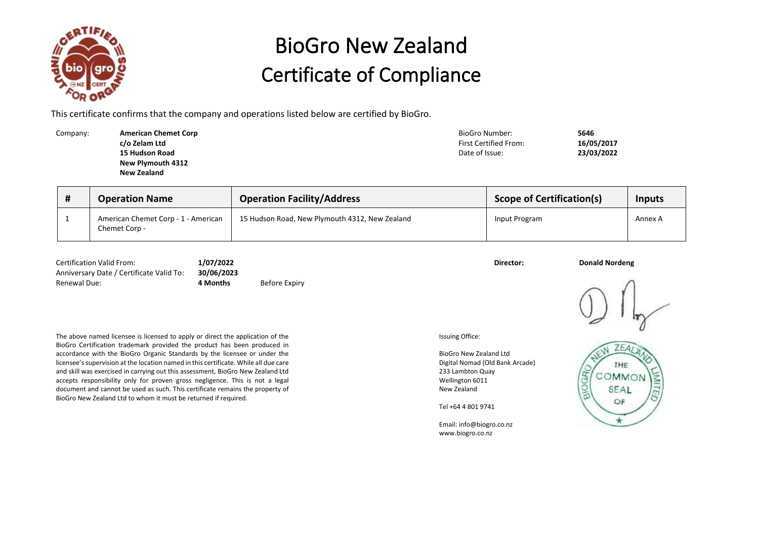

## BioGro New Zealand Certificate of Compliance

This certificate confirms that the company and operations listed below are certified by BioGro.

Company: **American Chemet Corp BioGromany: American Chemet Corp BioGromany: 5646 c/o Zelam Ltd 15 Hudson Road New Plymouth 4312 New Zealand**

First Certified From: **16/05/2017** Date of Issue: **23/03/2022**

| <b>Operation Name</b>                                | <b>Operation Facility/Address</b>              | <b>Scope of Certification(s)</b> | Inputs  |
|------------------------------------------------------|------------------------------------------------|----------------------------------|---------|
| American Chemet Corp - 1 - American<br>Chemet Corp - | 15 Hudson Road, New Plymouth 4312, New Zealand | Input Program                    | Annex A |

Certification Valid From: **1/07/2022 Director: Donald Nordeng** Anniversary Date / Certificate Valid To: **30/06/2023** Renewal Due: **4 Months** Before Expiry

The above named licensee is licensed to apply or direct the application of the BioGro Certification trademark provided the product has been produced in accordance with the BioGro Organic Standards by the licensee or under the licensee's supervision at the location named in this certificate. While all due care and skill was exercised in carrying out this assessment, BioGro New Zealand Ltd accepts responsibility only for proven gross negligence. This is not a legal document and cannot be used as such. This certificate remains the property of BioGro New Zealand Ltd to whom it must be returned if required.

Issuing Office:

BioGro New Zealand Ltd Digital Nomad (Old Bank Arcade) 233 Lambton Quay Wellington 6011 New Zealand

Tel +64 4 801 9741

Email: info@biogro.co.nz www.biogro.co.nz